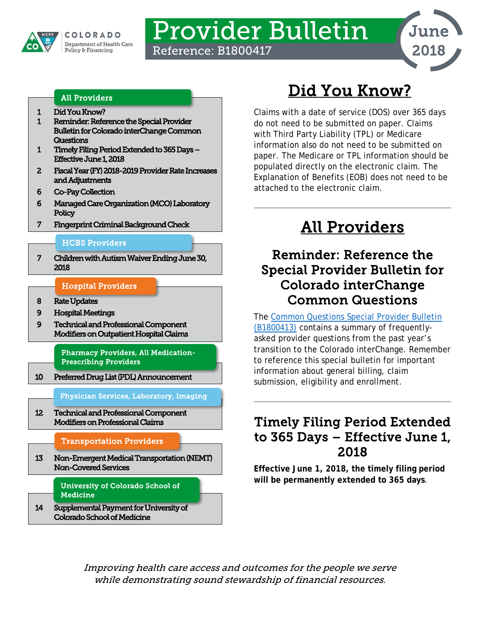

# Provider Bulletin

Reference: B1800417



#### All Providers

- [1 Did You Know?](#page-0-0)
- [1 Reminder: Reference the Special Provider](#page-0-1)  [Bulletin for Colorado interChange Common](#page-0-1)  **Questions**
- [1 Timely Filing Period Extended to 365 Days](#page-0-2)  [Effective June 1, 2018](#page-0-2)
- [2 Fiscal Year \(FY\) 2018-2019 Provider Rate Increases](#page-1-0)  [and Adjustments](#page-1-0)
- [6 Co-Pay Collection](#page-5-0)
- [6 Managed Care Organization \(MCO\) Laboratory](#page-5-1)  **Policy**
- [7 Fingerprint Criminal Background Check](#page-6-0)

#### [HCBS Providers](#page-6-2)

[7 Children with Autism Waiver Ending June 30,](#page-6-1)  [2018](#page-6-1) 

#### [Hospital Providers](#page-7-1)

- [8 Rate Updates](#page-7-0)
- [9 Hospital Meetings](#page-8-0)
- [9 Technical and Professional Component](#page-8-1)  [Modifiers on Outpatient Hospital Claims](#page-8-1)

[Pharmacy Providers, All Medication-](#page-9-1)[Prescribing Providers](#page-9-1) 

[10 Preferred Drug List \(PDL\) Announcement](#page-9-0) 

[Physician Services, Laboratory, Imaging](#page-11-1) 

[12 Technical and Professional Component](#page-11-0)  [Modifiers on Professional Claims](#page-11-0) 

#### [Transportation Providers](#page-12-1)

[13 Non-Emergent Medical Transportation \(NEMT\)](#page-12-0)  [Non-Covered Services](#page-12-0) 

> [University of Colorado School of](#page-13-1)  **Medicine**

[14 Supplemental Payment for University of](#page-13-0)  [Colorado School of Medicine](#page-13-0) 

## Did You Know?

<span id="page-0-0"></span>Claims with a date of service (DOS) over 365 days do not need to be submitted on paper. Claims with Third Party Liability (TPL) or Medicare information also do not need to be submitted on paper. The Medicare or TPL information should be populated directly on the electronic claim. The Explanation of Benefits (EOB) does not need to be attached to the electronic claim.

## All Providers

## <span id="page-0-1"></span>Reminder: Reference the Special Provider Bulletin for Colorado interChange Common Questions

The [Common Questions Special Provider Bulletin](https://www.colorado.gov/pacific/sites/default/files/Bulletin_0418_B1800413.pdf)  [\(B1800413\)](https://www.colorado.gov/pacific/sites/default/files/Bulletin_0418_B1800413.pdf) contains a summary of frequentlyasked provider questions from the past year's transition to the Colorado interChange. Remember to reference this special bulletin for important information about general billing, claim submission, eligibility and enrollment.

### <span id="page-0-2"></span>Timely Filing Period Extended to 365 Days – Effective June 1, 2018

**Effective June 1, 2018, the timely filing period will be permanently extended to 365 days**.

Improving health care access and outcomes for the people we serve while demonstrating sound stewardship of financial resources.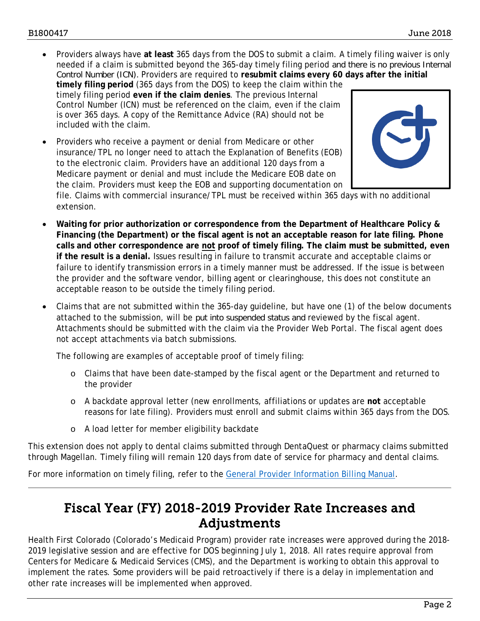• Providers always have **at least** 365 days from the DOS to submit a claim. A timely filing waiver is only needed if a claim is submitted beyond the 365-day timely filing period and there is no previous Internal Control Number (ICN). Providers are required to **resubmit claims every 60 days after the initial** 

**timely filing period** (365 days from the DOS) to keep the claim within the timely filing period **even if the claim denies**. The previous Internal Control Number (ICN) must be referenced on the claim, even if the claim is over 365 days. A copy of the Remittance Advice (RA) should not be included with the claim.

• Providers who receive a payment or denial from Medicare or other insurance/TPL no longer need to attach the Explanation of Benefits (EOB) to the electronic claim. Providers have an additional 120 days from a Medicare payment or denial and must include the Medicare EOB date on the claim. Providers must keep the EOB and supporting documentation on



file. Claims with commercial insurance/TPL must be received within 365 days with no additional extension.

- **Waiting for prior authorization or correspondence from the Department of Healthcare Policy & Financing (the Department) or the fiscal agent is not an acceptable reason for late filing. Phone calls and other correspondence are not proof of timely filing. The claim must be submitted, even if the result is a denial.** Issues resulting in failure to transmit accurate and acceptable claims or failure to identify transmission errors in a timely manner must be addressed. If the issue is between the provider and the software vendor, billing agent or clearinghouse, this does not constitute an acceptable reason to be outside the timely filing period.
- Claims that are not submitted within the 365-day guideline, but have one (1) of the below documents attached to the submission, will be put into suspended status and reviewed by the fiscal agent. Attachments should be submitted with the claim via the Provider Web Portal. The fiscal agent does not accept attachments via batch submissions.

The following are examples of acceptable proof of timely filing:

- o Claims that have been date-stamped by the fiscal agent or the Department and returned to the provider
- o A backdate approval letter (new enrollments, affiliations or updates are **not** acceptable reasons for late filing). Providers must enroll and submit claims within 365 days from the DOS.
- o A load letter for member eligibility backdate

This extension does not apply to dental claims submitted through DentaQuest or pharmacy claims submitted through Magellan. Timely filing will remain 120 days from date of service for pharmacy and dental claims.

<span id="page-1-0"></span>For more information on timely filing, refer to the [General Provider Information Billing Manual.](https://www.colorado.gov/pacific/sites/default/files/General_Provider_Information%20v2_2.pdf)

### Fiscal Year (FY) 2018-2019 Provider Rate Increases and Adjustments

Health First Colorado (Colorado's Medicaid Program) provider rate increases were approved during the 2018- 2019 legislative session and are effective for DOS beginning July 1, 2018. All rates require approval from Centers for Medicare & Medicaid Services (CMS), and the Department is working to obtain this approval to implement the rates. Some providers will be paid retroactively if there is a delay in implementation and other rate increases will be implemented when approved.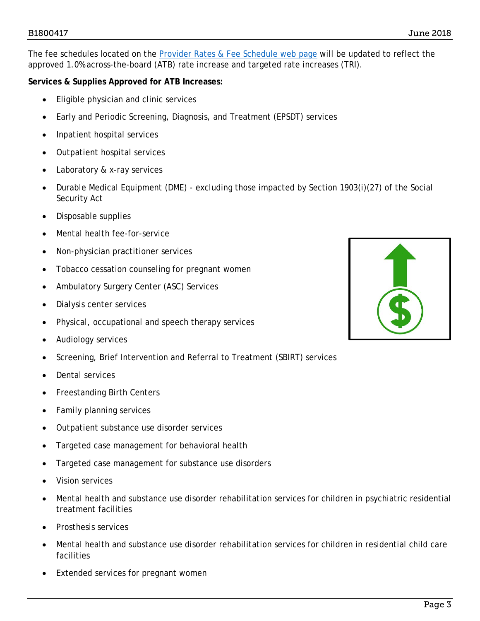The fee schedules located on the [Provider Rates & Fee Schedule web page](https://www.colorado.gov/hcpf/provider-rates-fee-schedule) will be updated to reflect the approved 1.0% across-the-board (ATB) rate increase and targeted rate increases (TRI).

#### **Services & Supplies Approved for ATB Increases:**

- Eligible physician and clinic services
- Early and Periodic Screening, Diagnosis, and Treatment (EPSDT) services
- Inpatient hospital services
- Outpatient hospital services
- Laboratory & x-ray services
- Durable Medical Equipment (DME) excluding those impacted by Section 1903(i)(27) of the Social Security Act
- Disposable supplies
- Mental health fee-for-service
- Non-physician practitioner services
- Tobacco cessation counseling for pregnant women
- Ambulatory Surgery Center (ASC) Services
- Dialysis center services
- Physical, occupational and speech therapy services
- Audiology services
- Screening, Brief Intervention and Referral to Treatment (SBIRT) services
- Dental services
- Freestanding Birth Centers
- Family planning services
- Outpatient substance use disorder services
- Targeted case management for behavioral health
- Targeted case management for substance use disorders
- Vision services
- Mental health and substance use disorder rehabilitation services for children in psychiatric residential treatment facilities
- Prosthesis services
- Mental health and substance use disorder rehabilitation services for children in residential child care facilities
- Extended services for pregnant women

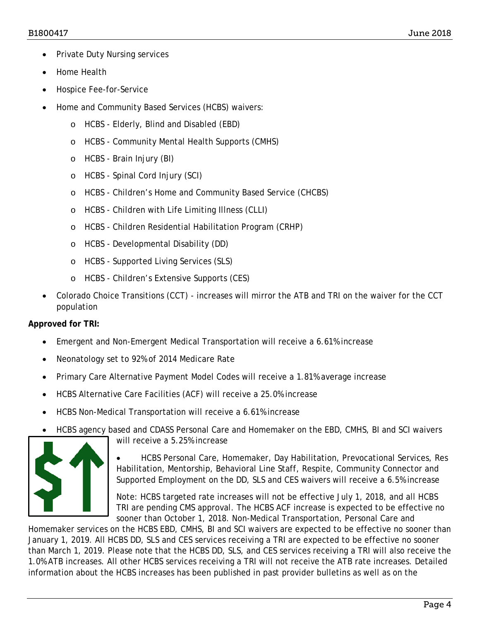- Private Duty Nursing services
- Home Health
- Hospice Fee-for-Service
- Home and Community Based Services (HCBS) waivers:
	- o HCBS Elderly, Blind and Disabled (EBD)
	- o HCBS Community Mental Health Supports (CMHS)
	- o HCBS Brain Injury (BI)
	- o HCBS Spinal Cord Injury (SCI)
	- o HCBS Children's Home and Community Based Service (CHCBS)
	- o HCBS Children with Life Limiting Illness (CLLI)
	- o HCBS Children Residential Habilitation Program (CRHP)
	- o HCBS Developmental Disability (DD)
	- o HCBS Supported Living Services (SLS)
	- o HCBS Children's Extensive Supports (CES)
- Colorado Choice Transitions (CCT) increases will mirror the ATB and TRI on the waiver for the CCT population

#### **Approved for TRI:**

- Emergent and Non-Emergent Medical Transportation will receive a 6.61% increase
- Neonatology set to 92% of 2014 Medicare Rate
- Primary Care Alternative Payment Model Codes will receive a 1.81% average increase
- HCBS Alternative Care Facilities (ACF) will receive a 25.0% increase
- HCBS Non-Medical Transportation will receive a 6.61% increase
- HCBS agency based and CDASS Personal Care and Homemaker on the EBD, CMHS, BI and SCI waivers



will receive a 5.25% increase

• HCBS Personal Care, Homemaker, Day Habilitation, Prevocational Services, Res Habilitation, Mentorship, Behavioral Line Staff, Respite, Community Connector and Supported Employment on the DD, SLS and CES waivers will receive a 6.5% increase

Note: HCBS targeted rate increases will not be effective July 1, 2018, and all HCBS TRI are pending CMS approval. The HCBS ACF increase is expected to be effective no sooner than October 1, 2018. Non-Medical Transportation, Personal Care and

Homemaker services on the HCBS EBD, CMHS, BI and SCI waivers are expected to be effective no sooner than January 1, 2019. All HCBS DD, SLS and CES services receiving a TRI are expected to be effective no sooner than March 1, 2019. Please note that the HCBS DD, SLS, and CES services receiving a TRI will also receive the 1.0% ATB increases. All other HCBS services receiving a TRI will not receive the ATB rate increases. Detailed information about the HCBS increases has been published in past provider bulletins as well as on the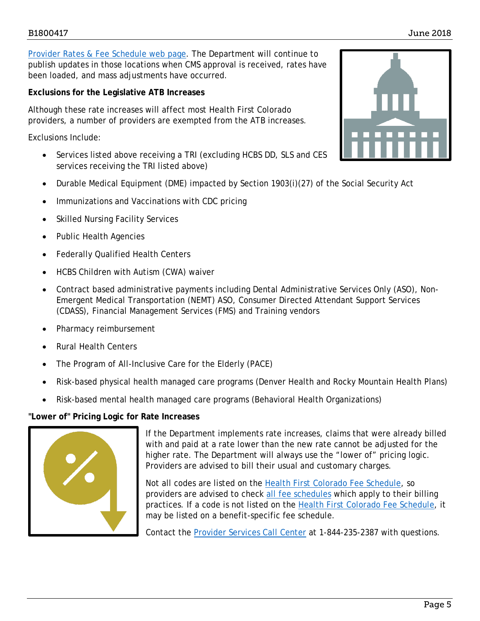[Provider Rates & Fee Schedule web page.](https://www.colorado.gov/hcpf/provider-rates-fee-schedule) The Department will continue to publish updates in those locations when CMS approval is received, rates have been loaded, and mass adjustments have occurred.

**Exclusions for the Legislative ATB Increases**

Although these rate increases will affect most Health First Colorado providers, a number of providers are exempted from the ATB increases.

Exclusions Include:

- Services listed above receiving a TRI (excluding HCBS DD, SLS and CES services receiving the TRI listed above)
- Durable Medical Equipment (DME) impacted by Section 1903(i)(27) of the Social Security Act
- Immunizations and Vaccinations with CDC pricing
- Skilled Nursing Facility Services
- Public Health Agencies
- Federally Qualified Health Centers
- HCBS Children with Autism (CWA) waiver
- Contract based administrative payments including Dental Administrative Services Only (ASO), Non-Emergent Medical Transportation (NEMT) ASO, Consumer Directed Attendant Support Services (CDASS), Financial Management Services (FMS) and Training vendors
- Pharmacy reimbursement
- Rural Health Centers
- The Program of All-Inclusive Care for the Elderly (PACE)
- Risk-based physical health managed care programs (Denver Health and Rocky Mountain Health Plans)
- Risk-based mental health managed care programs (Behavioral Health Organizations)

#### **"Lower of" Pricing Logic for Rate Increases**



If the Department implements rate increases, claims that were already billed with and paid at a rate lower than the new rate cannot be adjusted for the higher rate. The Department will always use the "lower of" pricing logic. Providers are advised to bill their usual and customary charges.

Not all codes are listed on the [Health First Colorado Fee Schedule,](https://www.colorado.gov/pacific/sites/default/files/Health%20First%20CO%20Physician%20Fee%20Schedule%20Effective%201-1-18.xlsx) so providers are advised to check [all fee schedules](https://www.colorado.gov/hcpf/provider-rates-fee-schedule) which apply to their billing practices. If a code is not listed on the [Health First Colorado Fee Schedule,](https://www.colorado.gov/pacific/sites/default/files/Health%20First%20CO%20Physician%20Fee%20Schedule%20Effective%201-1-18.xlsx) it may be listed on a benefit-specific fee schedule.

Contact the [Provider Services Call Center](https://www.colorado.gov/pacific/sites/default/files/Provider%20Call%20Center%20Cheat%20Sheet.pdf) at 1-844-235-2387 with questions.

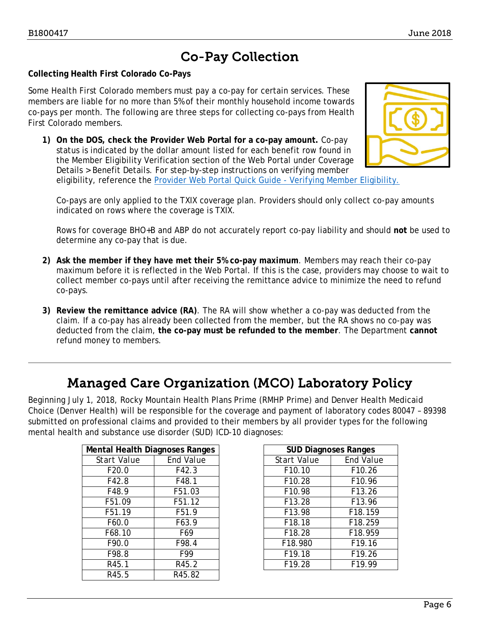## Co-Pay Collection

#### <span id="page-5-0"></span>**Collecting Health First Colorado Co-Pays**

Some Health First Colorado members must pay a co-pay for certain services. These members are liable for no more than 5% of their monthly household income towards co-pays per month. The following are three steps for collecting co-pays from Health First Colorado members.

**1) On the DOS, check the Provider Web Portal for a co-pay amount.** Co-pay status is indicated by the dollar amount listed for each benefit row found in the Member Eligibility Verification section of the Web Portal under Coverage Details > Benefit Details. For step-by-step instructions on verifying member eligibility, reference the [Provider Web Portal Quick Guide -](http://www.colorado.gov/pacific/sites/default/files/Member%20Eligibility%20021318.pdf) Verifying Member Eligibility.



Co-pays are only applied to the TXIX coverage plan. Providers should only collect co-pay amounts indicated on rows where the coverage is TXIX.

Rows for coverage BHO+B and ABP do not accurately report co-pay liability and should **not** be used to determine any co-pay that is due.

- **2) Ask the member if they have met their 5% co-pay maximum**. Members may reach their co-pay maximum before it is reflected in the Web Portal. If this is the case, providers may choose to wait to collect member co-pays until after receiving the remittance advice to minimize the need to refund co-pays.
- **3) Review the remittance advice (RA)**. The RA will show whether a co-pay was deducted from the claim. If a co-pay has already been collected from the member, but the RA shows no co-pay was deducted from the claim, **the co-pay must be refunded to the member**. The Department **cannot** refund money to members.

### Managed Care Organization (MCO) Laboratory Policy

<span id="page-5-1"></span>Beginning July 1, 2018, Rocky Mountain Health Plans Prime (RMHP Prime) and Denver Health Medicaid Choice (Denver Health) will be responsible for the coverage and payment of laboratory codes 80047 – 89398 submitted on professional claims and provided to their members by all provider types for the following mental health and substance use disorder (SUD) ICD-10 diagnoses:

| <b>Mental Health Diagnoses Ranges</b> |                  | <b>SUD Diagnoses Ranges</b> |                  |
|---------------------------------------|------------------|-----------------------------|------------------|
| Start Value                           | <b>End Value</b> | <b>Start Value</b>          | <b>End Value</b> |
| F20.0                                 | F42.3            | F10.10                      | F10.26           |
| F42.8                                 | F48.1            | F10.28                      | F10.96           |
| F48.9                                 | F51.03           | F10.98                      | F13.26           |
| F51.09                                | F51.12           | F13.28                      | F13.96           |
| F51.19                                | F51.9            | F13.98                      | F18.159          |
| F60.0                                 | F63.9            | F18.18                      | F18.259          |
| F68.10                                | F69              | F18.28                      | F18.959          |
| F90.0                                 | F98.4            | F18.980                     | F19.16           |
| F98.8                                 | F99              | F19.18                      | F19.26           |
| R45.1                                 | R45.2            | F19.28                      | F19.99           |
| R45.5                                 | R45.82           |                             |                  |

| al Health Diagnoses Ranges |                  | <b>SUD Diagnoses Ranges</b> |                  |
|----------------------------|------------------|-----------------------------|------------------|
| art Value                  | <b>End Value</b> | Start Value                 | <b>End Value</b> |
| F20.0                      | F42.3            | F10.10                      | F10.26           |
| F42.8                      | F48.1            | F10.28                      | F10.96           |
| F48.9                      | F51.03           | F10.98                      | F13.26           |
| F51.09                     | F51.12           | F13.28                      | F13.96           |
| F51.19                     | F51.9            | F13.98                      | F18.159          |
| F60.0                      | F63.9            | F18.18                      | F18.259          |
| F68.10                     | F69              | F18.28                      | F18.959          |
| F90.0                      | F98.4            | F18.980                     | F19.16           |
| F98.8                      | F99              | F19.18                      | F19.26           |
| R45.1                      | R45.2            | F19.28                      | F19.99           |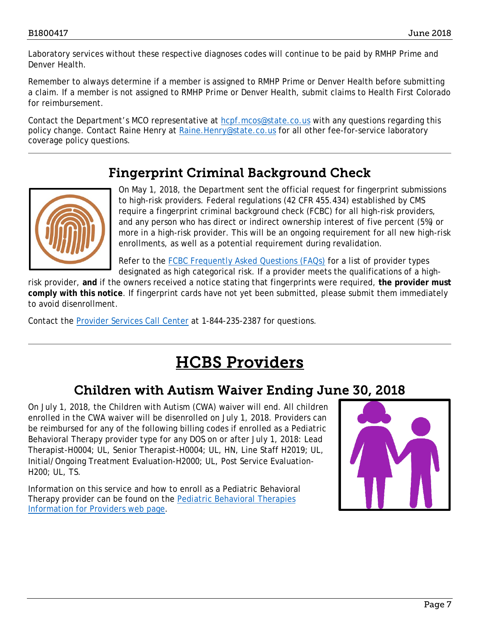Laboratory services without these respective diagnoses codes will continue to be paid by RMHP Prime and Denver Health.

Remember to always determine if a member is assigned to RMHP Prime or Denver Health before submitting a claim. If a member is not assigned to RMHP Prime or Denver Health, submit claims to Health First Colorado for reimbursement.

Contact the Department's MCO representative at [hcpf.mcos@state.co.us](mailto:hcpf.mcos@state.co.us) with any questions regarding this policy change. Contact Raine Henry at [Raine.Henry@state.co.us](mailto:Raine.Henry@state.co.us) for all other fee-for-service laboratory coverage policy questions.

## Fingerprint Criminal Background Check

<span id="page-6-0"></span>

On May 1, 2018, the Department sent the official request for fingerprint submissions to high-risk providers. Federal regulations (42 CFR 455.434) established by CMS require a fingerprint criminal background check (FCBC) for all high-risk providers, and any person who has direct or indirect ownership interest of five percent (5%) or more in a high-risk provider. This will be an ongoing requirement for all new high-risk enrollments, as well as a potential requirement during revalidation.

Refer to the [FCBC Frequently Asked Questions \(FAQs\)](https://www.colorado.gov/pacific/sites/default/files/FCBC%20FAQ%20Update.pdf) for a list of provider types designated as high categorical risk. If a provider meets the qualifications of a high-

risk provider, **and** if the owners received a notice stating that fingerprints were required, **the provider must comply with this notice**. If fingerprint cards have not yet been submitted, please submit them immediately to avoid disenrollment.

<span id="page-6-2"></span>Contact the [Provider Services Call Center](https://www.colorado.gov/pacific/sites/default/files/Provider%20Call%20Center%20Cheat%20Sheet.pdf) at 1-844-235-2387 for questions.

## HCBS Providers

### <span id="page-6-1"></span>Children with Autism Waiver Ending June 30, 2018

On July 1, 2018, the Children with Autism (CWA) waiver will end. All children enrolled in the CWA waiver will be disenrolled on July 1, 2018. Providers can be reimbursed for any of the following billing codes if enrolled as a Pediatric Behavioral Therapy provider type for any DOS on or after July 1, 2018: Lead Therapist-H0004; UL, Senior Therapist-H0004; UL, HN, Line Staff H2019; UL, Initial/Ongoing Treatment Evaluation-H2000; UL, Post Service Evaluation-H200; UL, TS.

Information on this service and how to enroll as a Pediatric Behavioral Therapy provider can be found on the Pediatric Behavioral Therapies [Information for Providers web page.](https://www.colorado.gov/pacific/hcpf/pediatric-behavioral-therapies-information-providers)

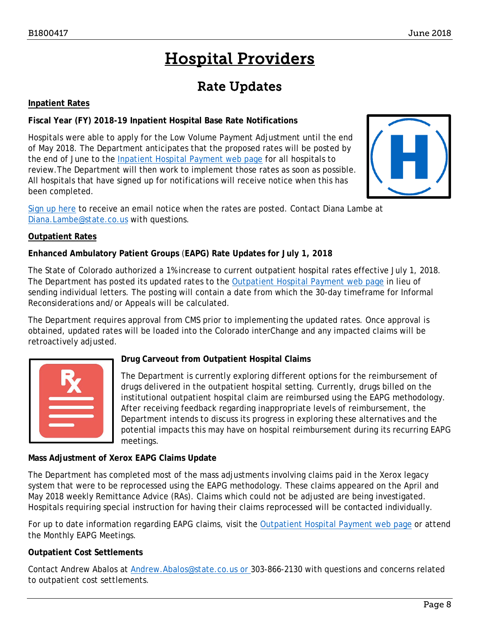## Hospital Providers

## Rate Updates

#### <span id="page-7-1"></span><span id="page-7-0"></span>**Inpatient Rates**

#### **Fiscal Year (FY) 2018-19 Inpatient Hospital Base Rate Notifications**

Hospitals were able to apply for the Low Volume Payment Adjustment until the end of May 2018. The Department anticipates that the proposed rates will be posted by the end of June to the [Inpatient Hospital Payment web page](https://www.colorado.gov/hcpf/inpatient-hospital-payment) for all hospitals to review.The Department will then work to implement those rates as soon as possible. All hospitals that have signed up for notifications will receive notice when this has been completed.



[Sign up here](https://visitor.r20.constantcontact.com/manage/optin?v=001HfxrbpGNWZ0lZnPp6t3PG2s9XPNl8ZvgFdjsKvSnhIy8z9JmHyp6DeoLJ3saT6x0SeqRR1ub149uoXxe1ok4jTzfMSQ0BN7S5vcLiRO7gdY%3D) to receive an email notice when the rates are posted. Contact Diana Lambe at [Diana.Lambe@state.co.us](mailto:Diana.Lambe@state.co.us) with questions.

#### **Outpatient Rates**

#### **Enhanced Ambulatory Patient Groups** (**EAPG) Rate Updates for July 1, 2018**

The State of Colorado authorized a 1% increase to current outpatient hospital rates effective July 1, 2018. The Department has posted its updated rates to the [Outpatient Hospital Payment web page](https://www.colorado.gov/pacific/hcpf/outpatient-hospital-payment) in lieu of sending individual letters. The posting will contain a date from which the 30-day timeframe for Informal Reconsiderations and/or Appeals will be calculated.

The Department requires approval from CMS prior to implementing the updated rates. Once approval is obtained, updated rates will be loaded into the Colorado interChange and any impacted claims will be retroactively adjusted.



#### **Drug Carveout from Outpatient Hospital Claims**

The Department is currently exploring different options for the reimbursement of drugs delivered in the outpatient hospital setting. Currently, drugs billed on the institutional outpatient hospital claim are reimbursed using the EAPG methodology. After receiving feedback regarding inappropriate levels of reimbursement, the Department intends to discuss its progress in exploring these alternatives and the potential impacts this may have on hospital reimbursement during its recurring EAPG meetings.

#### **Mass Adjustment of Xerox EAPG Claims Update**

The Department has completed most of the mass adjustments involving claims paid in the Xerox legacy system that were to be reprocessed using the EAPG methodology. These claims appeared on the April and May 2018 weekly Remittance Advice (RAs). Claims which could not be adjusted are being investigated. Hospitals requiring special instruction for having their claims reprocessed will be contacted individually.

For up to date information regarding EAPG claims, visit the [Outpatient Hospital Payment web page](https://www.colorado.gov/pacific/hcpf/outpatient-hospital-payment) or attend the Monthly EAPG Meetings.

#### **Outpatient Cost Settlements**

Contact Andrew Abalos at [Andrew.Abalos@state.co.us](mailto:andrew.abalos@state.co.us) or 303-866-2130 with questions and concerns related to outpatient cost settlements.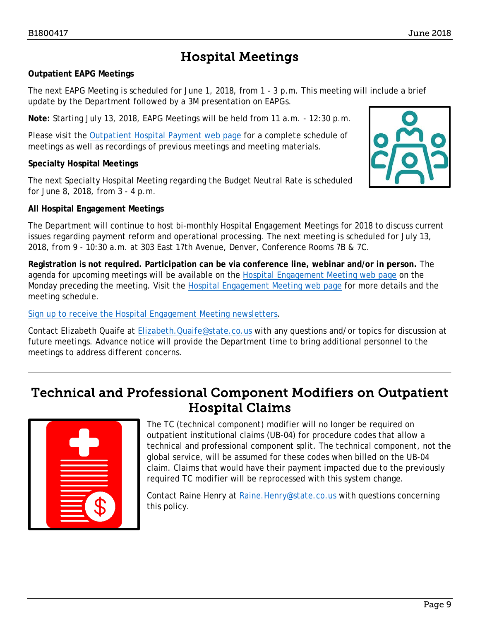## Hospital Meetings

#### <span id="page-8-0"></span>**Outpatient EAPG Meetings**

The next EAPG Meeting is scheduled for June 1, 2018, from 1 - 3 p.m. This meeting will include a brief update by the Department followed by a 3M presentation on EAPGs.

**Note:** Starting July 13, 2018, EAPG Meetings will be held from 11 a.m. - 12:30 p.m.

Please visit the [Outpatient Hospital Payment web page](https://www.colorado.gov/pacific/hcpf/outpatient-hospital-payment) for a complete schedule of meetings as well as recordings of previous meetings and meeting materials.

#### **Specialty Hospital Meetings**

The next Specialty Hospital Meeting regarding the Budget Neutral Rate is scheduled for June 8, 2018, from 3 - 4 p.m.

#### **All Hospital Engagement Meetings**

The Department will continue to host bi-monthly Hospital Engagement Meetings for 2018 to discuss current issues regarding payment reform and operational processing. The next meeting is scheduled for July 13, 2018, from 9 - 10:30 a.m. at 303 East 17th Avenue, Denver, Conference Rooms 7B & 7C.

**Registration is not required. Participation can be via conference line, webinar and/or in person.** The agenda for upcoming meetings will be available on the [Hospital Engagement Meeting web page](https://www.colorado.gov/pacific/hcpf/hospital-engagement-meetings) on the Monday preceding the meeting. Visit the [Hospital Engagement Meeting web page](https://www.colorado.gov/pacific/hcpf/hospital-engagement-meetings) for more details and the meeting schedule.

[Sign up to receive the Hospital Engagement Meeting newsletters.](https://visitor.r20.constantcontact.com/manage/optin?v=001HfxrbpGNWZ0lZnPp6t3PG2s9XPNl8ZvgFdjsKvSnhIy8z9JmHyp6DeoLJ3saT6x0SeqRR1ub149uoXxe1ok4jTzfMSQ0BN7S5vcLiRO7gdY%3D)

Contact Elizabeth Quaife at **Elizabeth.Quaife@state.co.us** with any questions and/or topics for discussion at future meetings. Advance notice will provide the Department time to bring additional personnel to the meetings to address different concerns.

### <span id="page-8-1"></span>Technical and Professional Component Modifiers on Outpatient Hospital Claims



The TC (technical component) modifier will no longer be required on outpatient institutional claims (UB-04) for procedure codes that allow a technical and professional component split. The technical component, not the global service, will be assumed for these codes when billed on the UB-04 claim. Claims that would have their payment impacted due to the previously required TC modifier will be reprocessed with this system change.

Contact Raine Henry at [Raine.Henry@state.co.us](mailto:Raine.Henry@state.co.us) with questions concerning this policy.

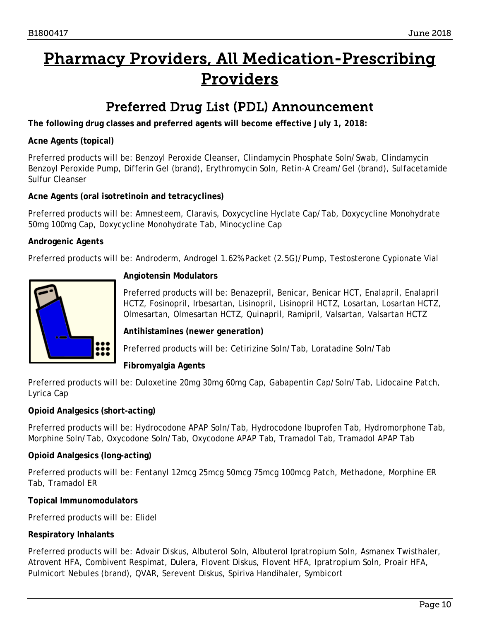## <span id="page-9-1"></span>Pharmacy Providers, All Medication-Prescribing Providers

### Preferred Drug List (PDL) Announcement

<span id="page-9-0"></span>**The following drug classes and preferred agents will become effective July 1, 2018:**

#### **Acne Agents (topical)**

Preferred products will be: Benzoyl Peroxide Cleanser, Clindamycin Phosphate Soln/Swab, Clindamycin Benzoyl Peroxide Pump, Differin Gel (brand), Erythromycin Soln, Retin-A Cream/Gel (brand), Sulfacetamide Sulfur Cleanser

#### **Acne Agents (oral isotretinoin and tetracyclines)**

Preferred products will be: Amnesteem, Claravis, Doxycycline Hyclate Cap/Tab, Doxycycline Monohydrate 50mg 100mg Cap, Doxycycline Monohydrate Tab, Minocycline Cap

#### **Androgenic Agents**

Preferred products will be: Androderm, Androgel 1.62% Packet (2.5G)/Pump, Testosterone Cypionate Vial



#### **Angiotensin Modulators**

Preferred products will be: Benazepril, Benicar, Benicar HCT, Enalapril, Enalapril HCTZ, Fosinopril, Irbesartan, Lisinopril, Lisinopril HCTZ, Losartan, Losartan HCTZ, Olmesartan, Olmesartan HCTZ, Quinapril, Ramipril, Valsartan, Valsartan HCTZ

#### **Antihistamines (newer generation)**

Preferred products will be: Cetirizine Soln/Tab, Loratadine Soln/Tab

#### **Fibromyalgia Agents**

Preferred products will be: Duloxetine 20mg 30mg 60mg Cap, Gabapentin Cap/Soln/Tab, Lidocaine Patch, Lyrica Cap

#### **Opioid Analgesics (short-acting)**

Preferred products will be: Hydrocodone APAP Soln/Tab, Hydrocodone Ibuprofen Tab, Hydromorphone Tab, Morphine Soln/Tab, Oxycodone Soln/Tab, Oxycodone APAP Tab, Tramadol Tab, Tramadol APAP Tab

#### **Opioid Analgesics (long-acting)**

Preferred products will be: Fentanyl 12mcg 25mcg 50mcg 75mcg 100mcg Patch, Methadone, Morphine ER Tab, Tramadol ER

#### **Topical Immunomodulators**

Preferred products will be: Elidel

#### **Respiratory Inhalants**

Preferred products will be: Advair Diskus, Albuterol Soln, Albuterol Ipratropium Soln, Asmanex Twisthaler, Atrovent HFA, Combivent Respimat, Dulera, Flovent Diskus, Flovent HFA, Ipratropium Soln, Proair HFA, Pulmicort Nebules (brand), QVAR, Serevent Diskus, Spiriva Handihaler, Symbicort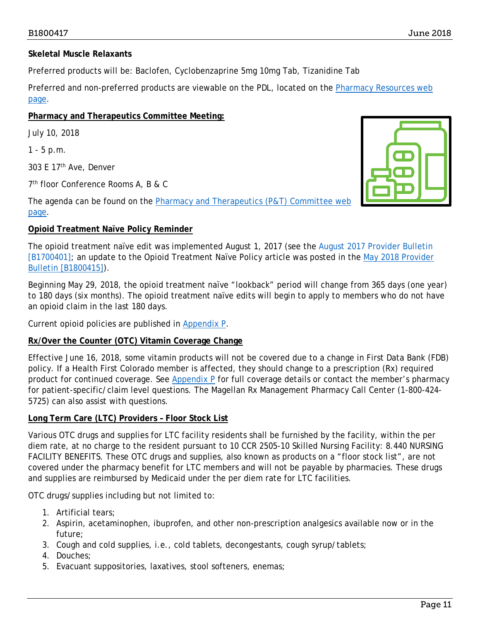#### **Skeletal Muscle Relaxants**

Preferred products will be: Baclofen, Cyclobenzaprine 5mg 10mg Tab, Tizanidine Tab

Preferred and non-preferred products are viewable on the PDL, located on the [Pharmacy Resources web](https://www.colorado.gov/hcpf/pharmacy-resources)  [page.](https://www.colorado.gov/hcpf/pharmacy-resources)

#### **Pharmacy and Therapeutics Committee Meeting:**

July 10, 2018

1 - 5 p.m.

303 E 17th Ave, Denver

7th floor Conference Rooms A, B & C

The agenda can be found on the **Pharmacy and Therapeutics (P&T)** Committee web [page.](https://www.colorado.gov/hcpf/pharmacy-and-therapeutics-committee)

#### **Opioid Treatment Naïve Policy Reminder**

The opioid treatment naïve edit was implemented August 1, 2017 (see the August 2017 Provider Bulletin [B1700401]; an update to the Opioid Treatment Naïve Policy article was posted in the [May 2018 Provider](https://www.colorado.gov/pacific/sites/default/files/Bulletin_0518_B18004115.pdf)  [Bulletin \[B1800415\]\)](https://www.colorado.gov/pacific/sites/default/files/Bulletin_0518_B18004115.pdf).

Beginning May 29, 2018, the opioid treatment naïve "lookback" period will change from 365 days (one year) to 180 days (six months). The opioid treatment naïve edits will begin to apply to members who do not have an opioid claim in the last 180 days.

Current opioid policies are published in [Appendix P.](https://www.colorado.gov/pacific/sites/default/files/Appendix%20P-PA%20Criteria%20for%20Physicians%20and%20Pharmacists%20v1_2.pdf)

#### **Rx/Over the Counter (OTC) Vitamin Coverage Change**

Effective June 16, 2018, some vitamin products will not be covered due to a change in First Data Bank (FDB) policy. If a Health First Colorado member is affected, they should change to a prescription (Rx) required product for continued coverage. See [Appendix P](https://www.colorado.gov/pacific/sites/default/files/Appendix%20P-PA%20Criteria%20for%20Physicians%20and%20Pharmacists%20v1_2.pdf) for full coverage details or contact the member's pharmacy for patient-specific/claim level questions. The Magellan Rx Management Pharmacy Call Center (1-800-424- 5725) can also assist with questions.

#### **Long Term Care (LTC) Providers – Floor Stock List**

Various OTC drugs and supplies for LTC facility residents shall be furnished by the facility, within the per diem rate, at no charge to the resident pursuant to 10 CCR 2505-10 Skilled Nursing Facility: 8.440 NURSING FACILITY BENEFITS. These OTC drugs and supplies, also known as products on a "floor stock list", are not covered under the pharmacy benefit for LTC members and will not be payable by pharmacies. These drugs and supplies are reimbursed by Medicaid under the per diem rate for LTC facilities.

OTC drugs/supplies including but not limited to:

- 1. Artificial tears;
- 2. Aspirin, acetaminophen, ibuprofen, and other non-prescription analgesics available now or in the future;
- 3. Cough and cold supplies, i.e., cold tablets, decongestants, cough syrup/tablets;
- 4. Douches;
- 5. Evacuant suppositories, laxatives, stool softeners, enemas;

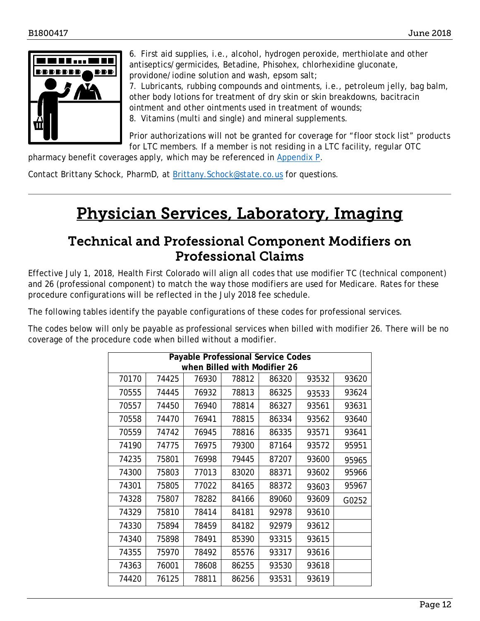

6. First aid supplies, i.e., alcohol, hydrogen peroxide, merthiolate and other antiseptics/germicides, Betadine, Phisohex, chlorhexidine gluconate, providone/iodine solution and wash, epsom salt; 7. Lubricants, rubbing compounds and ointments, i.e., petroleum jelly, bag balm, other body lotions for treatment of dry skin or skin breakdowns, bacitracin ointment and other ointments used in treatment of wounds; 8. Vitamins (multi and single) and mineral supplements.

Prior authorizations will not be granted for coverage for "floor stock list" products for LTC members. If a member is not residing in a LTC facility, regular OTC

pharmacy benefit coverages apply, which may be referenced in [Appendix P.](https://www.colorado.gov/pacific/sites/default/files/Appendix%20P-PA%20Criteria%20for%20Physicians%20and%20Pharmacists%20v1_2.pdf)

<span id="page-11-1"></span>Contact Brittany Schock, PharmD, at Brittany. Schock@state.co.us for questions.

## Physician Services, Laboratory, Imaging

### Technical and Professional Component Modifiers on Professional Claims

<span id="page-11-0"></span>Effective July 1, 2018, Health First Colorado will align all codes that use modifier TC (technical component) and 26 (professional component) to match the way those modifiers are used for Medicare. Rates for these procedure configurations will be reflected in the July 2018 fee schedule.

The following tables identify the payable configurations of these codes for professional services.

The codes below will only be payable as professional services when billed with modifier 26. There will be no coverage of the procedure code when billed without a modifier.

| Payable Professional Service Codes<br>when Billed with Modifier 26 |       |       |       |       |       |       |
|--------------------------------------------------------------------|-------|-------|-------|-------|-------|-------|
| 70170                                                              | 74425 | 76930 | 78812 | 86320 | 93532 | 93620 |
| 70555                                                              | 74445 | 76932 | 78813 | 86325 | 93533 | 93624 |
| 70557                                                              | 74450 | 76940 | 78814 | 86327 | 93561 | 93631 |
| 70558                                                              | 74470 | 76941 | 78815 | 86334 | 93562 | 93640 |
| 70559                                                              | 74742 | 76945 | 78816 | 86335 | 93571 | 93641 |
| 74190                                                              | 74775 | 76975 | 79300 | 87164 | 93572 | 95951 |
| 74235                                                              | 75801 | 76998 | 79445 | 87207 | 93600 | 95965 |
| 74300                                                              | 75803 | 77013 | 83020 | 88371 | 93602 | 95966 |
| 74301                                                              | 75805 | 77022 | 84165 | 88372 | 93603 | 95967 |
| 74328                                                              | 75807 | 78282 | 84166 | 89060 | 93609 | G0252 |
| 74329                                                              | 75810 | 78414 | 84181 | 92978 | 93610 |       |
| 74330                                                              | 75894 | 78459 | 84182 | 92979 | 93612 |       |
| 74340                                                              | 75898 | 78491 | 85390 | 93315 | 93615 |       |
| 74355                                                              | 75970 | 78492 | 85576 | 93317 | 93616 |       |
| 74363                                                              | 76001 | 78608 | 86255 | 93530 | 93618 |       |
| 74420                                                              | 76125 | 78811 | 86256 | 93531 | 93619 |       |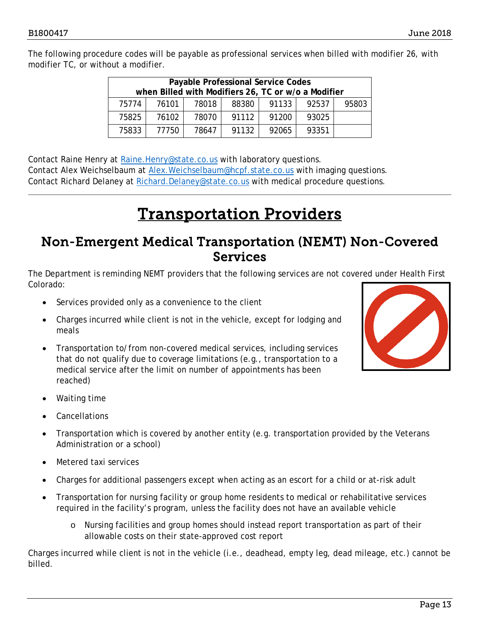The following procedure codes will be payable as professional services when billed with modifier 26, with modifier TC, or without a modifier.

| Payable Professional Service Codes                  |       |       |       |       |       |       |
|-----------------------------------------------------|-------|-------|-------|-------|-------|-------|
| when Billed with Modifiers 26, TC or w/o a Modifier |       |       |       |       |       |       |
| 75774                                               | 76101 | 78018 | 88380 | 91133 | 92537 | 95803 |
| 75825                                               | 76102 | 78070 | 91112 | 91200 | 93025 |       |
| 75833                                               | 77750 | 78647 | 91132 | 92065 | 93351 |       |

Contact Raine Henry at [Raine.Henry@state.co.us](mailto:Raine.Henry@state.co.us) with laboratory questions. Contact Alex Weichselbaum at [Alex.Weichselbaum@hcpf.state.co.us](mailto:Alex.Weichselbaum@hcpf.state.co.us) with imaging questions. Contact Richard Delaney at [Richard.Delaney@state.co.us](mailto:Richard.Delaney@state.co.us) with medical procedure questions.

## Transportation Providers

### <span id="page-12-1"></span><span id="page-12-0"></span>Non-Emergent Medical Transportation (NEMT) Non-Covered Services

The Department is reminding NEMT providers that the following services are not covered under Health First Colorado:

- Services provided only as a convenience to the client
- Charges incurred while client is not in the vehicle, except for lodging and meals
- Transportation to/from non-covered medical services, including services that do not qualify due to coverage limitations (e.g., transportation to a medical service after the limit on number of appointments has been reached)



- Waiting time
- **Cancellations**
- Transportation which is covered by another entity (e.g. transportation provided by the Veterans Administration or a school)
- Metered taxi services
- Charges for additional passengers except when acting as an escort for a child or at-risk adult
- Transportation for nursing facility or group home residents to medical or rehabilitative services required in the facility's program, unless the facility does not have an available vehicle
	- o Nursing facilities and group homes should instead report transportation as part of their allowable costs on their state-approved cost report

Charges incurred while client is not in the vehicle (i.e., deadhead, empty leg, dead mileage, etc.) cannot be billed.